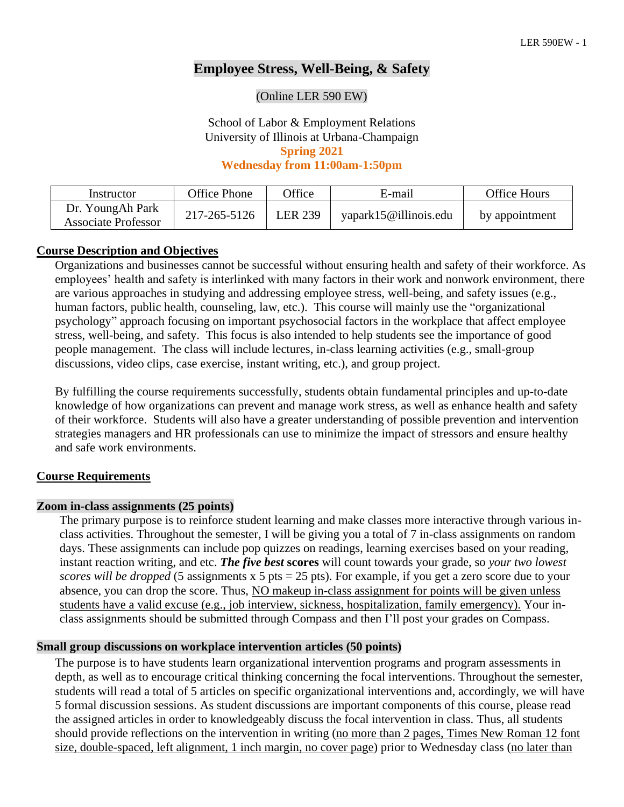# **Employee Stress, Well-Being, & Safety**

#### (Online LER 590 EW)

## School of Labor & Employment Relations University of Illinois at Urbana-Champaign **Spring 2021 Wednesday from 11:00am-1:50pm**

| Instructor                                     | Office Phone | <b>Office</b>  | E-mail                | <b>Office Hours</b> |
|------------------------------------------------|--------------|----------------|-----------------------|---------------------|
| Dr. YoungAh Park<br><b>Associate Professor</b> | 217-265-5126 | <b>LER 239</b> | yapark15@illinois.edu | by appointment      |

#### **Course Description and Objectives**

Organizations and businesses cannot be successful without ensuring health and safety of their workforce. As employees' health and safety is interlinked with many factors in their work and nonwork environment, there are various approaches in studying and addressing employee stress, well-being, and safety issues (e.g., human factors, public health, counseling, law, etc.). This course will mainly use the "organizational psychology" approach focusing on important psychosocial factors in the workplace that affect employee stress, well-being, and safety. This focus is also intended to help students see the importance of good people management. The class will include lectures, in-class learning activities (e.g., small-group discussions, video clips, case exercise, instant writing, etc.), and group project.

By fulfilling the course requirements successfully, students obtain fundamental principles and up-to-date knowledge of how organizations can prevent and manage work stress, as well as enhance health and safety of their workforce. Students will also have a greater understanding of possible prevention and intervention strategies managers and HR professionals can use to minimize the impact of stressors and ensure healthy and safe work environments.

# **Course Requirements**

#### **Zoom in-class assignments (25 points)**

The primary purpose is to reinforce student learning and make classes more interactive through various inclass activities. Throughout the semester, I will be giving you a total of 7 in-class assignments on random days. These assignments can include pop quizzes on readings, learning exercises based on your reading, instant reaction writing, and etc. *The five best* **scores** will count towards your grade, so *your two lowest scores* will be dropped (5 assignments x 5 pts = 25 pts). For example, if you get a zero score due to your absence, you can drop the score. Thus, NO makeup in-class assignment for points will be given unless students have a valid excuse (e.g., job interview, sickness, hospitalization, family emergency). Your inclass assignments should be submitted through Compass and then I'll post your grades on Compass.

#### **Small group discussions on workplace intervention articles (50 points)**

The purpose is to have students learn organizational intervention programs and program assessments in depth, as well as to encourage critical thinking concerning the focal interventions. Throughout the semester, students will read a total of 5 articles on specific organizational interventions and, accordingly, we will have 5 formal discussion sessions. As student discussions are important components of this course, please read the assigned articles in order to knowledgeably discuss the focal intervention in class. Thus, all students should provide reflections on the intervention in writing (no more than 2 pages, Times New Roman 12 font size, double-spaced, left alignment, 1 inch margin, no cover page) prior to Wednesday class (no later than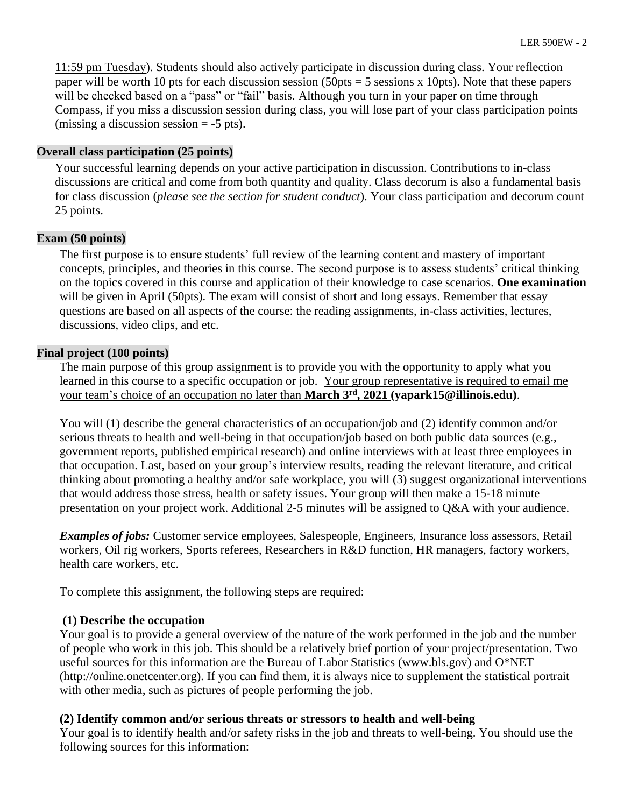11:59 pm Tuesday). Students should also actively participate in discussion during class. Your reflection paper will be worth 10 pts for each discussion session (50pts  $=$  5 sessions x 10pts). Note that these papers will be checked based on a "pass" or "fail" basis. Although you turn in your paper on time through Compass, if you miss a discussion session during class, you will lose part of your class participation points (missing a discussion session  $= -5$  pts).

# **Overall class participation (25 points)**

Your successful learning depends on your active participation in discussion. Contributions to in-class discussions are critical and come from both quantity and quality. Class decorum is also a fundamental basis for class discussion (*please see the section for student conduct*). Your class participation and decorum count 25 points.

## **Exam (50 points)**

The first purpose is to ensure students' full review of the learning content and mastery of important concepts, principles, and theories in this course. The second purpose is to assess students' critical thinking on the topics covered in this course and application of their knowledge to case scenarios. **One examination** will be given in April (50pts). The exam will consist of short and long essays. Remember that essay questions are based on all aspects of the course: the reading assignments, in-class activities, lectures, discussions, video clips, and etc.

#### **Final project (100 points)**

The main purpose of this group assignment is to provide you with the opportunity to apply what you learned in this course to a specific occupation or job. Your group representative is required to email me your team's choice of an occupation no later than **March 3rd, 2021 (yapark15@illinois.edu)**.

You will (1) describe the general characteristics of an occupation/job and (2) identify common and/or serious threats to health and well-being in that occupation/job based on both public data sources (e.g., government reports, published empirical research) and online interviews with at least three employees in that occupation. Last, based on your group's interview results, reading the relevant literature, and critical thinking about promoting a healthy and/or safe workplace, you will (3) suggest organizational interventions that would address those stress, health or safety issues. Your group will then make a 15-18 minute presentation on your project work. Additional 2-5 minutes will be assigned to Q&A with your audience.

*Examples of jobs:* Customer service employees, Salespeople, Engineers, Insurance loss assessors, Retail workers, Oil rig workers, Sports referees, Researchers in R&D function, HR managers, factory workers, health care workers, etc.

To complete this assignment, the following steps are required:

# **(1) Describe the occupation**

Your goal is to provide a general overview of the nature of the work performed in the job and the number of people who work in this job. This should be a relatively brief portion of your project/presentation. Two useful sources for this information are the Bureau of Labor Statistics (www.bls.gov) and O\*NET (http://online.onetcenter.org). If you can find them, it is always nice to supplement the statistical portrait with other media, such as pictures of people performing the job.

#### **(2) Identify common and/or serious threats or stressors to health and well-being**

Your goal is to identify health and/or safety risks in the job and threats to well-being. You should use the following sources for this information: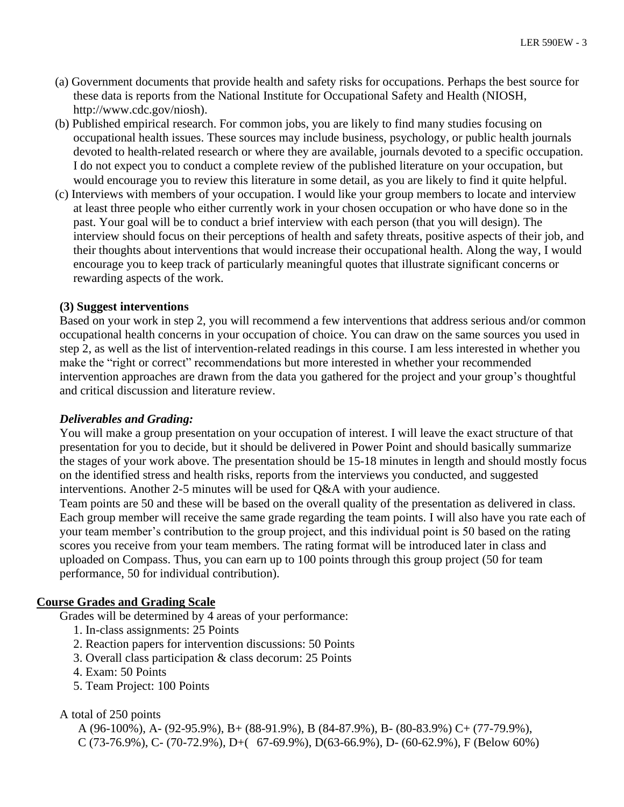- (a) Government documents that provide health and safety risks for occupations. Perhaps the best source for these data is reports from the National Institute for Occupational Safety and Health (NIOSH, http://www.cdc.gov/niosh).
- (b) Published empirical research. For common jobs, you are likely to find many studies focusing on occupational health issues. These sources may include business, psychology, or public health journals devoted to health-related research or where they are available, journals devoted to a specific occupation. I do not expect you to conduct a complete review of the published literature on your occupation, but would encourage you to review this literature in some detail, as you are likely to find it quite helpful.
- (c) Interviews with members of your occupation. I would like your group members to locate and interview at least three people who either currently work in your chosen occupation or who have done so in the past. Your goal will be to conduct a brief interview with each person (that you will design). The interview should focus on their perceptions of health and safety threats, positive aspects of their job, and their thoughts about interventions that would increase their occupational health. Along the way, I would encourage you to keep track of particularly meaningful quotes that illustrate significant concerns or rewarding aspects of the work.

## **(3) Suggest interventions**

Based on your work in step 2, you will recommend a few interventions that address serious and/or common occupational health concerns in your occupation of choice. You can draw on the same sources you used in step 2, as well as the list of intervention-related readings in this course. I am less interested in whether you make the "right or correct" recommendations but more interested in whether your recommended intervention approaches are drawn from the data you gathered for the project and your group's thoughtful and critical discussion and literature review.

#### *Deliverables and Grading:*

You will make a group presentation on your occupation of interest. I will leave the exact structure of that presentation for you to decide, but it should be delivered in Power Point and should basically summarize the stages of your work above. The presentation should be 15-18 minutes in length and should mostly focus on the identified stress and health risks, reports from the interviews you conducted, and suggested interventions. Another 2-5 minutes will be used for Q&A with your audience.

Team points are 50 and these will be based on the overall quality of the presentation as delivered in class. Each group member will receive the same grade regarding the team points. I will also have you rate each of your team member's contribution to the group project, and this individual point is 50 based on the rating scores you receive from your team members. The rating format will be introduced later in class and uploaded on Compass. Thus, you can earn up to 100 points through this group project (50 for team performance, 50 for individual contribution).

# **Course Grades and Grading Scale**

Grades will be determined by 4 areas of your performance:

- 1. In-class assignments: 25 Points
- 2. Reaction papers for intervention discussions: 50 Points
- 3. Overall class participation & class decorum: 25 Points
- 4. Exam: 50 Points
- 5. Team Project: 100 Points

# A total of 250 points

A (96-100%), A- (92-95.9%), B+ (88-91.9%), B (84-87.9%), B- (80-83.9%) C+ (77-79.9%), C (73-76.9%), C- (70-72.9%), D+(  $67-69.9$ %), D $(63-66.9)$ , D- $(60-62.9)$ , F (Below 60%)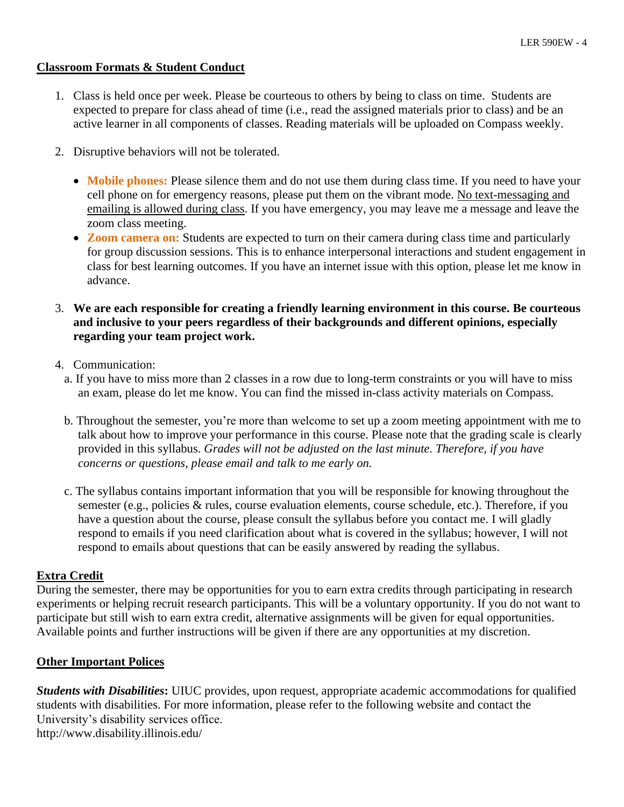## **Classroom Formats & Student Conduct**

- 1. Class is held once per week. Please be courteous to others by being to class on time. Students are expected to prepare for class ahead of time (i.e., read the assigned materials prior to class) and be an active learner in all components of classes. Reading materials will be uploaded on Compass weekly.
- 2. Disruptive behaviors will not be tolerated.
	- **Mobile phones:** Please silence them and do not use them during class time. If you need to have your cell phone on for emergency reasons, please put them on the vibrant mode. No text-messaging and emailing is allowed during class. If you have emergency, you may leave me a message and leave the zoom class meeting.
	- **Zoom camera on:** Students are expected to turn on their camera during class time and particularly for group discussion sessions. This is to enhance interpersonal interactions and student engagement in class for best learning outcomes. If you have an internet issue with this option, please let me know in advance.
- 3. **We are each responsible for creating a friendly learning environment in this course. Be courteous and inclusive to your peers regardless of their backgrounds and different opinions, especially regarding your team project work.**
- 4. Communication:
	- a. If you have to miss more than 2 classes in a row due to long-term constraints or you will have to miss an exam, please do let me know. You can find the missed in-class activity materials on Compass.
	- b. Throughout the semester, you're more than welcome to set up a zoom meeting appointment with me to talk about how to improve your performance in this course. Please note that the grading scale is clearly provided in this syllabus. *Grades will not be adjusted on the last minute. Therefore, if you have concerns or questions, please email and talk to me early on.*
	- c. The syllabus contains important information that you will be responsible for knowing throughout the semester (e.g., policies & rules, course evaluation elements, course schedule, etc.). Therefore, if you have a question about the course, please consult the syllabus before you contact me. I will gladly respond to emails if you need clarification about what is covered in the syllabus; however, I will not respond to emails about questions that can be easily answered by reading the syllabus.

#### **Extra Credit**

During the semester, there may be opportunities for you to earn extra credits through participating in research experiments or helping recruit research participants. This will be a voluntary opportunity. If you do not want to participate but still wish to earn extra credit, alternative assignments will be given for equal opportunities. Available points and further instructions will be given if there are any opportunities at my discretion.

#### **Other Important Polices**

*Students with Disabilities***:** UIUC provides, upon request, appropriate academic accommodations for qualified students with disabilities. For more information, please refer to the following website and contact the University's disability services office. http://www.disability.illinois.edu/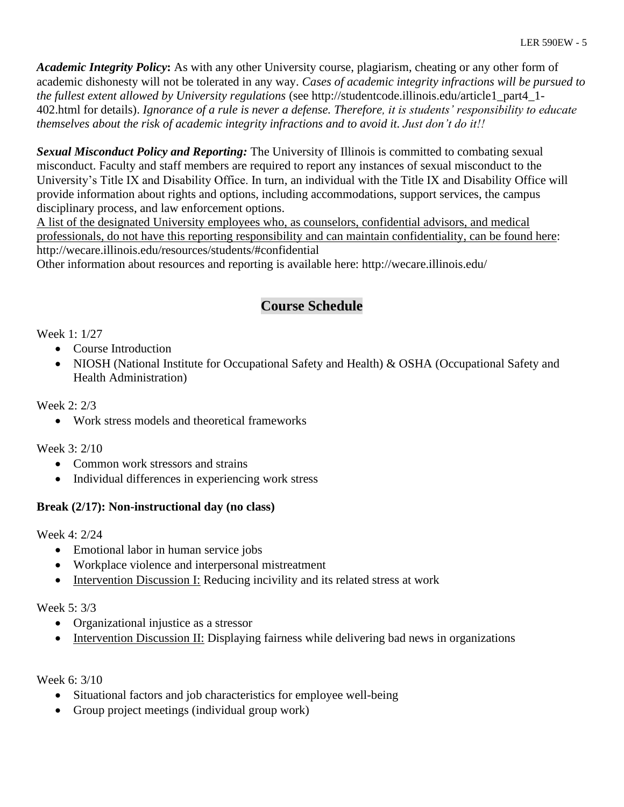*Academic Integrity Policy***:** As with any other University course, plagiarism, cheating or any other form of academic dishonesty will not be tolerated in any way. *Cases of academic integrity infractions will be pursued to the fullest extent allowed by University regulations* (see http://studentcode.illinois.edu/article1\_part4\_1- 402.html for details). *Ignorance of a rule is never a defense. Therefore, it is students' responsibility to educate themselves about the risk of academic integrity infractions and to avoid it. Just don't do it!!*

*Sexual Misconduct Policy and Reporting:* The University of Illinois is committed to combating sexual misconduct. Faculty and staff members are required to report any instances of sexual misconduct to the University's Title IX and Disability Office. In turn, an individual with the Title IX and Disability Office will provide information about rights and options, including accommodations, support services, the campus disciplinary process, and law enforcement options.

A list of the designated University employees who, as counselors, confidential advisors, and medical professionals, do not have this reporting responsibility and can maintain confidentiality, can be found here: http://wecare.illinois.edu/resources/students/#confidential Other information about resources and reporting is available here: http://wecare.illinois.edu/

# **Course Schedule**

Week 1: 1/27

- Course Introduction
- NIOSH (National Institute for Occupational Safety and Health) & OSHA (Occupational Safety and Health Administration)

Week 2: 2/3

• Work stress models and theoretical frameworks

Week 3: 2/10

- Common work stressors and strains
- Individual differences in experiencing work stress

# **Break (2/17): Non-instructional day (no class)**

Week 4: 2/24

- Emotional labor in human service jobs
- Workplace violence and interpersonal mistreatment
- Intervention Discussion I: Reducing incivility and its related stress at work

Week 5: 3/3

- Organizational injustice as a stressor
- Intervention Discussion II: Displaying fairness while delivering bad news in organizations

Week 6: 3/10

- Situational factors and job characteristics for employee well-being
- Group project meetings (individual group work)